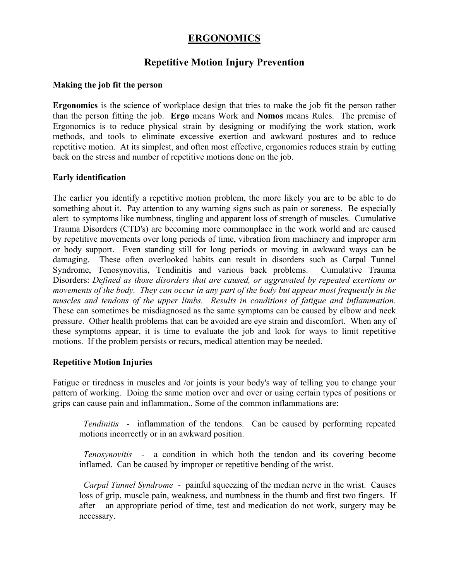# **ERGONOMICS**

## **Repetitive Motion Injury Prevention**

### **Making the job fit the person**

**Ergonomics** is the science of workplace design that tries to make the job fit the person rather than the person fitting the job. **Ergo** means Work and **Nomos** means Rules. The premise of Ergonomics is to reduce physical strain by designing or modifying the work station, work methods, and tools to eliminate excessive exertion and awkward postures and to reduce repetitive motion. At its simplest, and often most effective, ergonomics reduces strain by cutting back on the stress and number of repetitive motions done on the job.

#### **Early identification**

The earlier you identify a repetitive motion problem, the more likely you are to be able to do something about it. Pay attention to any warning signs such as pain or soreness. Be especially alert to symptoms like numbness, tingling and apparent loss of strength of muscles. Cumulative Trauma Disorders (CTD's) are becoming more commonplace in the work world and are caused by repetitive movements over long periods of time, vibration from machinery and improper arm or body support. Even standing still for long periods or moving in awkward ways can be damaging. These often overlooked habits can result in disorders such as Carpal Tunnel Syndrome, Tenosynovitis, Tendinitis and various back problems. Cumulative Trauma Disorders: *Defined as those disorders that are caused, or aggravated by repeated exertions or movements of the body. They can occur in any part of the body but appear most frequently in the muscles and tendons of the upper limbs. Results in conditions of fatigue and inflammation.* These can sometimes be misdiagnosed as the same symptoms can be caused by elbow and neck pressure. Other health problems that can be avoided are eye strain and discomfort. When any of these symptoms appear, it is time to evaluate the job and look for ways to limit repetitive motions. If the problem persists or recurs, medical attention may be needed.

### **Repetitive Motion Injuries**

Fatigue or tiredness in muscles and /or joints is your body's way of telling you to change your pattern of working. Doing the same motion over and over or using certain types of positions or grips can cause pain and inflammation.. Some of the common inflammations are:

 *Tendinitis* - inflammation of the tendons. Can be caused by performing repeated motions incorrectly or in an awkward position.

 *Tenosynovitis -* a condition in which both the tendon and its covering become inflamed. Can be caused by improper or repetitive bending of the wrist.

*Carpal Tunnel Syndrome -* painful squeezing of the median nerve in the wrist. Causes loss of grip, muscle pain, weakness, and numbness in the thumb and first two fingers. If after an appropriate period of time, test and medication do not work, surgery may be necessary.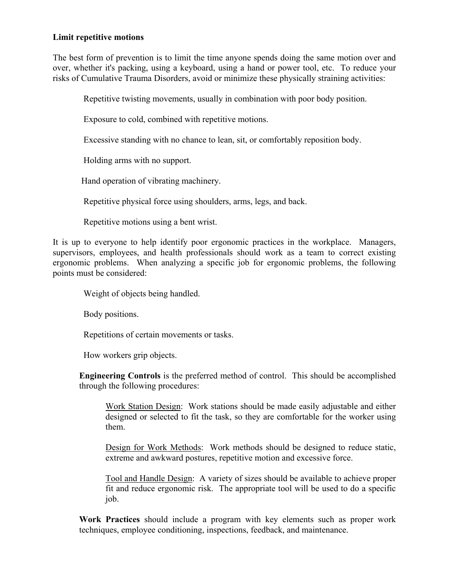#### **Limit repetitive motions**

The best form of prevention is to limit the time anyone spends doing the same motion over and over, whether it's packing, using a keyboard, using a hand or power tool, etc. To reduce your risks of Cumulative Trauma Disorders, avoid or minimize these physically straining activities:

Repetitive twisting movements, usually in combination with poor body position.

Exposure to cold, combined with repetitive motions.

Excessive standing with no chance to lean, sit, or comfortably reposition body.

Holding arms with no support.

Hand operation of vibrating machinery.

Repetitive physical force using shoulders, arms, legs, and back.

Repetitive motions using a bent wrist.

It is up to everyone to help identify poor ergonomic practices in the workplace. Managers, supervisors, employees, and health professionals should work as a team to correct existing ergonomic problems. When analyzing a specific job for ergonomic problems, the following points must be considered:

Weight of objects being handled.

Body positions.

Repetitions of certain movements or tasks.

How workers grip objects.

**Engineering Controls** is the preferred method of control. This should be accomplished through the following procedures:

Work Station Design: Work stations should be made easily adjustable and either designed or selected to fit the task, so they are comfortable for the worker using them.

Design for Work Methods: Work methods should be designed to reduce static, extreme and awkward postures, repetitive motion and excessive force.

Tool and Handle Design: A variety of sizes should be available to achieve proper fit and reduce ergonomic risk. The appropriate tool will be used to do a specific job.

**Work Practices** should include a program with key elements such as proper work techniques, employee conditioning, inspections, feedback, and maintenance.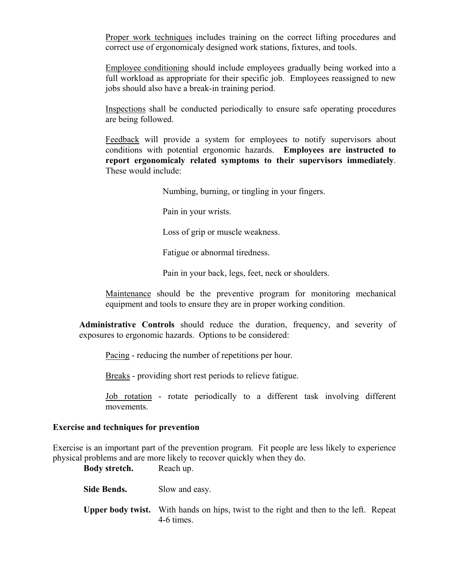Proper work techniques includes training on the correct lifting procedures and correct use of ergonomicaly designed work stations, fixtures, and tools.

Employee conditioning should include employees gradually being worked into a full workload as appropriate for their specific job. Employees reassigned to new jobs should also have a break-in training period.

Inspections shall be conducted periodically to ensure safe operating procedures are being followed.

Feedback will provide a system for employees to notify supervisors about conditions with potential ergonomic hazards. **Employees are instructed to report ergonomicaly related symptoms to their supervisors immediately**. These would include:

Numbing, burning, or tingling in your fingers.

Pain in your wrists.

Loss of grip or muscle weakness.

Fatigue or abnormal tiredness.

Pain in your back, legs, feet, neck or shoulders.

Maintenance should be the preventive program for monitoring mechanical equipment and tools to ensure they are in proper working condition.

**Administrative Controls** should reduce the duration, frequency, and severity of exposures to ergonomic hazards. Options to be considered:

Pacing - reducing the number of repetitions per hour.

Breaks - providing short rest periods to relieve fatigue.

 Job rotation - rotate periodically to a different task involving different movements.

#### **Exercise and techniques for prevention**

Exercise is an important part of the prevention program. Fit people are less likely to experience physical problems and are more likely to recover quickly when they do.

**Body stretch.** Reach up.

Side Bends. Slow and easy.

 **Upper body twist.** With hands on hips, twist to the right and then to the left. Repeat 4-6 times.